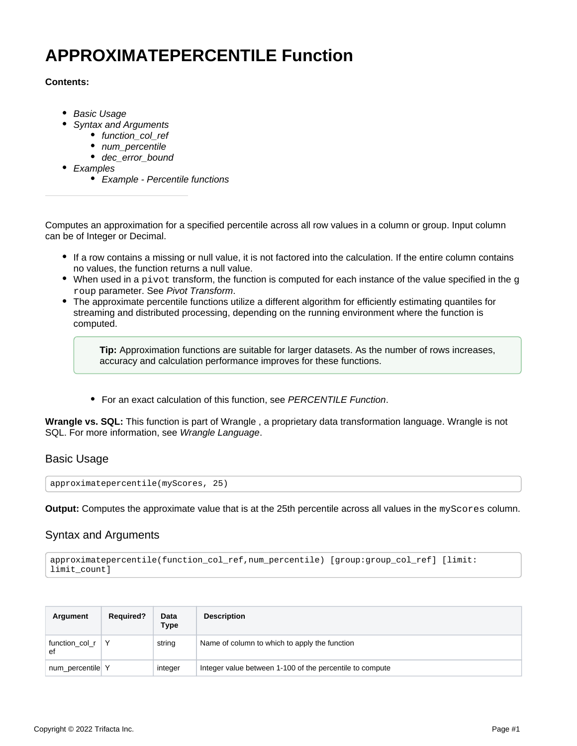# **APPROXIMATEPERCENTILE Function**

### **Contents:**

- [Basic Usage](#page-0-0)
- [Syntax and Arguments](#page-0-1)
	- [function\\_col\\_ref](#page-1-0)
	- num percentile
	- [dec\\_error\\_bound](#page-1-2)
- [Examples](#page-1-3)
	- [Example Percentile functions](#page-2-0)

Computes an approximation for a specified percentile across all row values in a column or group. Input column can be of Integer or Decimal.

- If a row contains a missing or null value, it is not factored into the calculation. If the entire column contains no values, the function returns a null value.
- $\bullet$  When used in a pivot transform, the function is computed for each instance of the value specified in the g roup parameter. See [Pivot Transform](https://docs.trifacta.com/display/SS/Pivot+Transform).
- The approximate percentile functions utilize a different algorithm for efficiently estimating quantiles for streaming and distributed processing, depending on the running environment where the function is computed.

**Tip:** Approximation functions are suitable for larger datasets. As the number of rows increases, accuracy and calculation performance improves for these functions.

• For an exact calculation of this function, see [PERCENTILE Function](https://docs.trifacta.com/display/SS/PERCENTILE+Function).

**Wrangle vs. SQL:** This function is part of Wrangle , a proprietary data transformation language. Wrangle is not SQL. For more information, see [Wrangle Language](https://docs.trifacta.com/display/SS/Wrangle+Language).

# <span id="page-0-0"></span>Basic Usage

approximatepercentile(myScores, 25)

**Output:** Computes the approximate value that is at the 25th percentile across all values in the myScores column.

# <span id="page-0-1"></span>Syntax and Arguments

```
approximatepercentile(function_col_ref,num_percentile) [group:group_col_ref] [limit:
limit_count]
```

| Argument             | <b>Required?</b> | Data<br>Type | <b>Description</b>                                       |
|----------------------|------------------|--------------|----------------------------------------------------------|
| function_col_r<br>ef |                  | string       | Name of column to which to apply the function            |
| num_percentile Y     |                  | integer      | Integer value between 1-100 of the percentile to compute |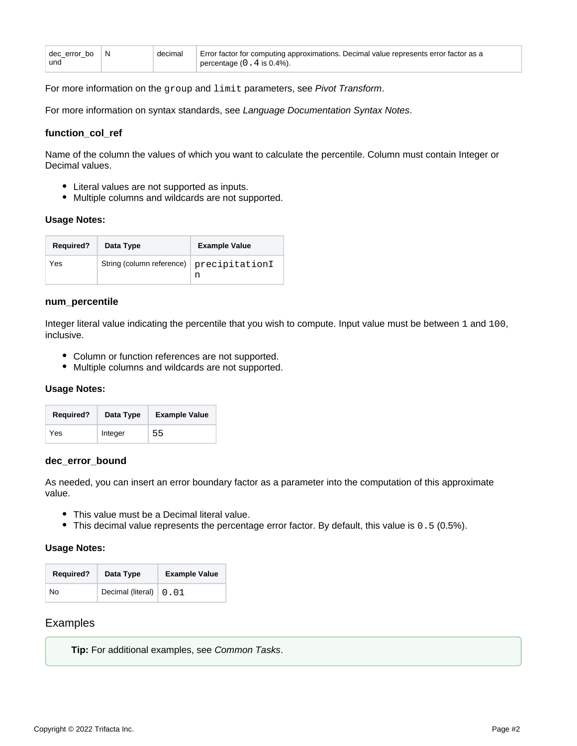| decerror bo IN | decimal | Error factor for computing approximations. Decimal value represents error factor as a |
|----------------|---------|---------------------------------------------------------------------------------------|
| und            |         | percentage $(0.4$ is 0.4%).                                                           |

For more information on the group and limit parameters, see [Pivot Transform](https://docs.trifacta.com/display/SS/Pivot+Transform).

For more information on syntax standards, see [Language Documentation Syntax Notes](https://docs.trifacta.com/display/SS/Language+Documentation+Syntax+Notes).

#### <span id="page-1-0"></span>**function\_col\_ref**

Name of the column the values of which you want to calculate the percentile. Column must contain Integer or Decimal values.

- Literal values are not supported as inputs.
- Multiple columns and wildcards are not supported.

#### **Usage Notes:**

| <b>Required?</b> | Data Type                 | <b>Example Value</b> |
|------------------|---------------------------|----------------------|
| Yes              | String (column reference) | precipitationI<br>n  |

#### <span id="page-1-1"></span>**num\_percentile**

Integer literal value indicating the percentile that you wish to compute. Input value must be between 1 and 100, inclusive.

- Column or function references are not supported.
- Multiple columns and wildcards are not supported.

#### **Usage Notes:**

| <b>Required?</b> | Data Type | <b>Example Value</b> |
|------------------|-----------|----------------------|
| Yes              | Integer   | 55                   |

#### <span id="page-1-2"></span>**dec\_error\_bound**

As needed, you can insert an error boundary factor as a parameter into the computation of this approximate value.

- This value must be a Decimal literal value.
- This decimal value represents the percentage error factor. By default, this value is 0.5 (0.5%).

#### **Usage Notes:**

| <b>Required?</b> | Data Type                            | <b>Example Value</b> |
|------------------|--------------------------------------|----------------------|
| No               | Decimal (literal) $\vert 0.01 \vert$ |                      |

#### <span id="page-1-3"></span>**Examples**

**Tip:** For additional examples, see [Common Tasks](https://docs.trifacta.com/display/SS/Common+Tasks).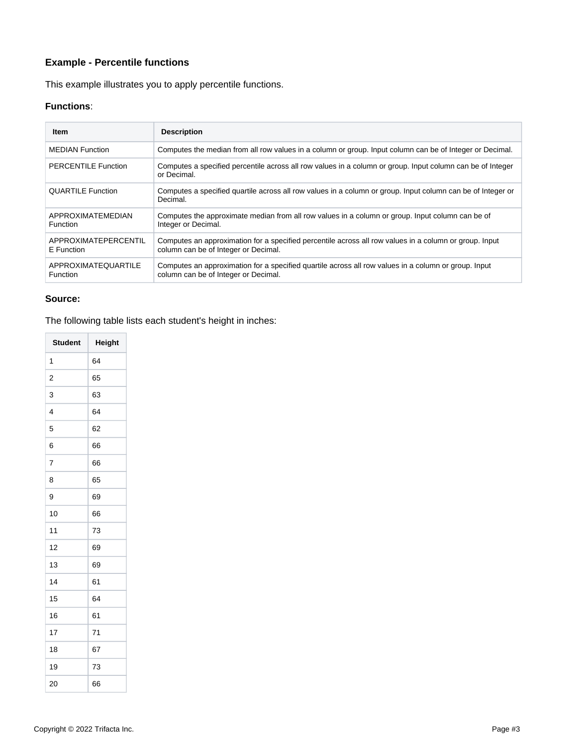# <span id="page-2-0"></span>**Example - Percentile functions**

This example illustrates you to apply percentile functions.

## **Functions**:

| <b>Item</b>                            | <b>Description</b>                                                                                                                             |
|----------------------------------------|------------------------------------------------------------------------------------------------------------------------------------------------|
| <b>MEDIAN Function</b>                 | Computes the median from all row values in a column or group. Input column can be of Integer or Decimal.                                       |
| <b>PERCENTILE Function</b>             | Computes a specified percentile across all row values in a column or group. Input column can be of Integer<br>or Decimal.                      |
| <b>QUARTILE Function</b>               | Computes a specified quartile across all row values in a column or group. Input column can be of Integer or<br>Decimal.                        |
| APPROXIMATEMEDIAN<br><b>Function</b>   | Computes the approximate median from all row values in a column or group. Input column can be of<br>Integer or Decimal.                        |
| APPROXIMATEPERCENTIL<br>E Function     | Computes an approximation for a specified percentile across all row values in a column or group. Input<br>column can be of Integer or Decimal. |
| APPROXIMATEQUARTILE<br><b>Function</b> | Computes an approximation for a specified quartile across all row values in a column or group. Input<br>column can be of Integer or Decimal.   |

#### **Source:**

The following table lists each student's height in inches:

| <b>Student</b> | Height |
|----------------|--------|
| 1              | 64     |
| 2              | 65     |
| 3              | 63     |
| 4              | 64     |
| 5              | 62     |
| 6              | 66     |
| $\overline{7}$ | 66     |
| 8              | 65     |
| 9              | 69     |
| 10             | 66     |
| 11             | 73     |
| 12             | 69     |
| 13             | 69     |
| 14             | 61     |
| 15             | 64     |
| 16             | 61     |
| 17             | 71     |
| 18             | 67     |
| 19             | 73     |
| 20             | 66     |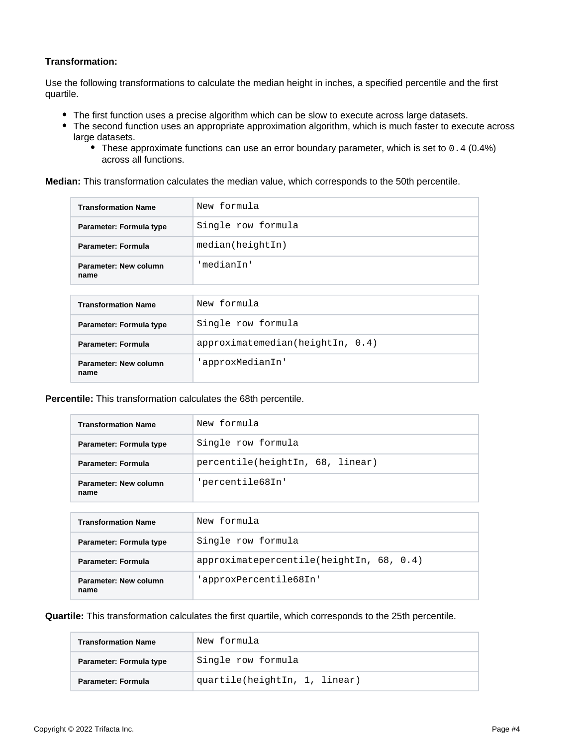## **Transformation:**

Use the following transformations to calculate the median height in inches, a specified percentile and the first quartile.

- The first function uses a precise algorithm which can be slow to execute across large datasets.
- The second function uses an appropriate approximation algorithm, which is much faster to execute across large datasets.
	- These approximate functions can use an error boundary parameter, which is set to 0.4 (0.4%) across all functions.

**Median:** This transformation calculates the median value, which corresponds to the 50th percentile.

| <b>Transformation Name</b>    | New formula        |
|-------------------------------|--------------------|
| Parameter: Formula type       | Single row formula |
| <b>Parameter: Formula</b>     | median(heightIn)   |
| Parameter: New column<br>name | 'median⊺n'         |

| <b>Transformation Name</b>    | New formula                  |
|-------------------------------|------------------------------|
| Parameter: Formula type       | Single row formula           |
| Parameter: Formula            | approximation(heightIn, 0.4) |
| Parameter: New column<br>name | 'approxMedianIn'             |

**Percentile:** This transformation calculates the 68th percentile.

| <b>Transformation Name</b>    | New formula                      |
|-------------------------------|----------------------------------|
| Parameter: Formula type       | Single row formula               |
| <b>Parameter: Formula</b>     | percentile(heightIn, 68, linear) |
| Parameter: New column<br>name | 'percentile68In'                 |

| <b>Transformation Name</b>    | New formula                                 |
|-------------------------------|---------------------------------------------|
| Parameter: Formula type       | Single row formula                          |
| Parameter: Formula            | $approximate percentile(heightIn, 68, 0.4)$ |
| Parameter: New column<br>name | 'approxPercentile68In'                      |

**Quartile:** This transformation calculates the first quartile, which corresponds to the 25th percentile.

| <b>Transformation Name</b> | New formula                   |
|----------------------------|-------------------------------|
| Parameter: Formula type    | Single row formula            |
| <b>Parameter: Formula</b>  | quartile(heightIn, 1, linear) |